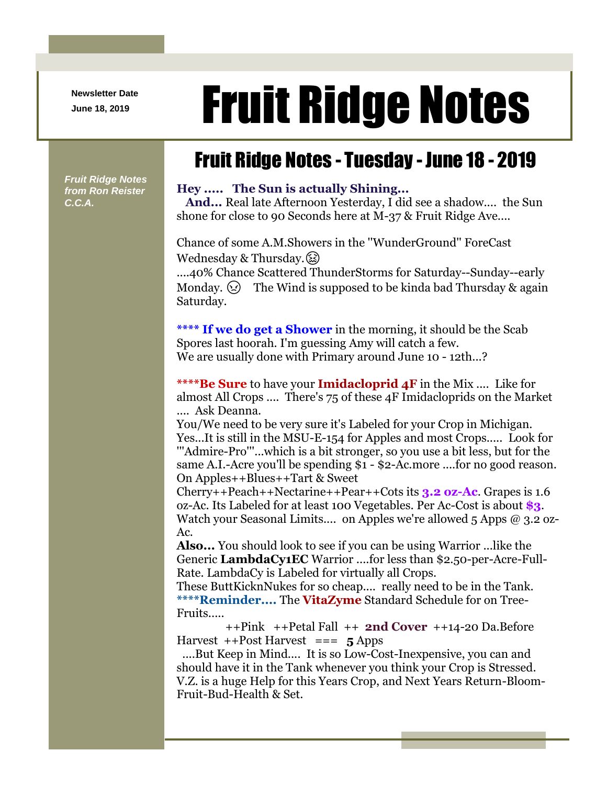**Newsletter Date**

# Newsletter Date **Fruit Ridge Notes**

## Fruit Ridge Notes - Tuesday - June 18 - 2019

*Fruit Ridge Notes from Ron Reister C.C.A.*

#### **Hey ..... The Sun is actually Shining...**

**And...** Real late Afternoon Yesterday, I did see a shadow.... the Sun shone for close to 90 Seconds here at M-37 & Fruit Ridge Ave....

Chance of some A.M.Showers in the ''WunderGround'' ForeCast Wednesday & Thursday. $\circled{)}$ 

....40% Chance Scattered ThunderStorms for Saturday--Sunday--early Monday.  $\odot$  The Wind is supposed to be kinda bad Thursday & again Saturday.

**\*\*\*\* If we do get a Shower** in the morning, it should be the Scab Spores last hoorah. I'm guessing Amy will catch a few. We are usually done with Primary around June 10 - 12th...?

**\*\*\*\*Be Sure** to have your **Imidacloprid 4F** in the Mix .... Like for almost All Crops .... There's 75 of these 4F Imidacloprids on the Market .... Ask Deanna.

You/We need to be very sure it's Labeled for your Crop in Michigan. Yes...It is still in the MSU-E-154 for Apples and most Crops..... Look for '''Admire-Pro'''...which is a bit stronger, so you use a bit less, but for the same A.I.-Acre you'll be spending \$1 - \$2-Ac.more ....for no good reason. On Apples++Blues++Tart & Sweet

Cherry++Peach++Nectarine++Pear++Cots its **3.2 oz-Ac**. Grapes is 1.6 oz-Ac. Its Labeled for at least 100 Vegetables. Per Ac-Cost is about **\$3**. Watch your Seasonal Limits.... on Apples we're allowed 5 Apps  $\omega$  3.2 oz-Ac.

**Also...** You should look to see if you can be using Warrior ...like the Generic **LambdaCy1EC** Warrior ....for less than \$2.50-per-Acre-Full-Rate. LambdaCy is Labeled for virtually all Crops.

These ButtKicknNukes for so cheap.... really need to be in the Tank. **\*\*\*\*Reminder....** The **VitaZyme** Standard Schedule for on Tree-Fruits.....

++Pink ++Petal Fall ++ **2nd Cover** ++14-20 Da.Before Harvest ++Post Harvest === **5** Apps

....But Keep in Mind.... It is so Low-Cost-Inexpensive, you can and should have it in the Tank whenever you think your Crop is Stressed. V.Z. is a huge Help for this Years Crop, and Next Years Return-Bloom-Fruit-Bud-Health & Set.